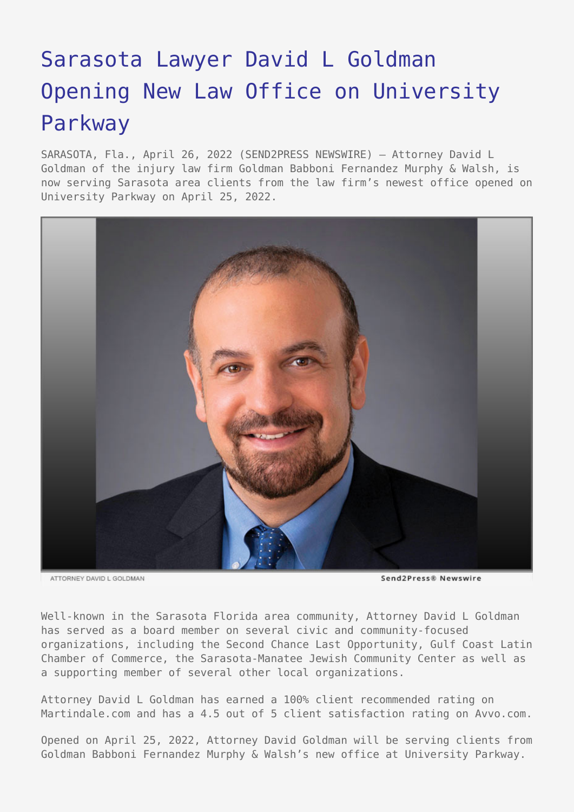## [Sarasota Lawyer David L Goldman](https://www.send2press.com/wire/sarasota-lawyer-david-l-goldman-opening-new-law-office-on-university-parkway/) [Opening New Law Office on University](https://www.send2press.com/wire/sarasota-lawyer-david-l-goldman-opening-new-law-office-on-university-parkway/) [Parkway](https://www.send2press.com/wire/sarasota-lawyer-david-l-goldman-opening-new-law-office-on-university-parkway/)

SARASOTA, Fla., April 26, 2022 (SEND2PRESS NEWSWIRE) — Attorney David L Goldman of the injury law firm Goldman Babboni Fernandez Murphy & Walsh, is now serving Sarasota area clients from the law firm's newest office opened on University Parkway on April 25, 2022.



ATTORNEY DAVID L GOLDMAN

Send2Press® Newswire

Well-known in the Sarasota Florida area community, Attorney David L Goldman has served as a board member on several civic and community-focused organizations, including the Second Chance Last Opportunity, Gulf Coast Latin Chamber of Commerce, the Sarasota-Manatee Jewish Community Center as well as a supporting member of several other local organizations.

Attorney David L Goldman has earned a 100% client recommended rating on Martindale.com and has a 4.5 out of 5 client satisfaction rating on Avvo.com.

Opened on April 25, 2022, Attorney David Goldman will be serving clients from Goldman Babboni Fernandez Murphy & Walsh's new office at University Parkway.